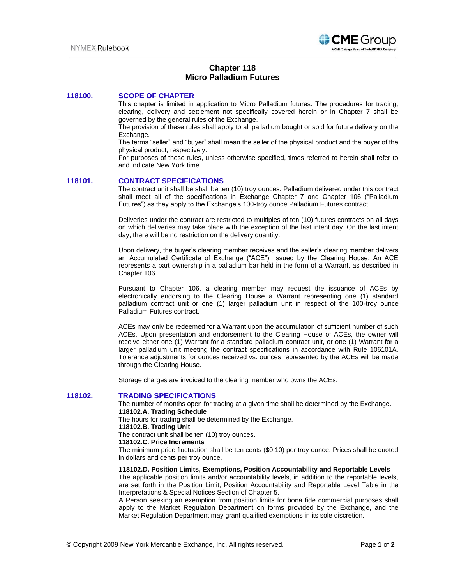

# **Chapter 118 Micro Palladium Futures**

### **118100. SCOPE OF CHAPTER**

This chapter is limited in application to Micro Palladium futures. The procedures for trading, clearing, delivery and settlement not specifically covered herein or in Chapter 7 shall be governed by the general rules of the Exchange.

The provision of these rules shall apply to all palladium bought or sold for future delivery on the Exchange.

The terms "seller" and "buyer" shall mean the seller of the physical product and the buyer of the physical product, respectively.

For purposes of these rules, unless otherwise specified, times referred to herein shall refer to and indicate New York time.

# **118101. CONTRACT SPECIFICATIONS**

The contract unit shall be shall be ten (10) troy ounces. Palladium delivered under this contract shall meet all of the specifications in Exchange Chapter 7 and Chapter 106 ("Palladium Futures") as they apply to the Exchange's 100-troy ounce Palladium Futures contract.

Deliveries under the contract are restricted to multiples of ten (10) futures contracts on all days on which deliveries may take place with the exception of the last intent day. On the last intent day, there will be no restriction on the delivery quantity.

Upon delivery, the buyer's clearing member receives and the seller's clearing member delivers an Accumulated Certificate of Exchange ("ACE"), issued by the Clearing House. An ACE represents a part ownership in a palladium bar held in the form of a Warrant, as described in Chapter 106.

Pursuant to Chapter 106, a clearing member may request the issuance of ACEs by electronically endorsing to the Clearing House a Warrant representing one (1) standard palladium contract unit or one (1) larger palladium unit in respect of the 100-troy ounce Palladium Futures contract.

ACEs may only be redeemed for a Warrant upon the accumulation of sufficient number of such ACEs. Upon presentation and endorsement to the Clearing House of ACEs, the owner will receive either one (1) Warrant for a standard palladium contract unit, or one (1) Warrant for a larger palladium unit meeting the contract specifications in accordance with Rule 106101A. Tolerance adjustments for ounces received vs. ounces represented by the ACEs will be made through the Clearing House.

Storage charges are invoiced to the clearing member who owns the ACEs.

### **118102. TRADING SPECIFICATIONS**

The number of months open for trading at a given time shall be determined by the Exchange. **118102.A. Trading Schedule**

The hours for trading shall be determined by the Exchange.

#### **118102.B. Trading Unit**

The contract unit shall be ten (10) troy ounces.

## **118102.C. Price Increments**

The minimum price fluctuation shall be ten cents (\$0.10) per troy ounce. Prices shall be quoted in dollars and cents per troy ounce.

**118102.D. Position Limits, Exemptions, Position Accountability and Reportable Levels** 

The applicable position limits and/or accountability levels, in addition to the reportable levels, are set forth in the Position Limit, Position Accountability and Reportable Level Table in the Interpretations & Special Notices Section of Chapter 5.

A Person seeking an exemption from position limits for bona fide commercial purposes shall apply to the Market Regulation Department on forms provided by the Exchange, and the Market Regulation Department may grant qualified exemptions in its sole discretion.